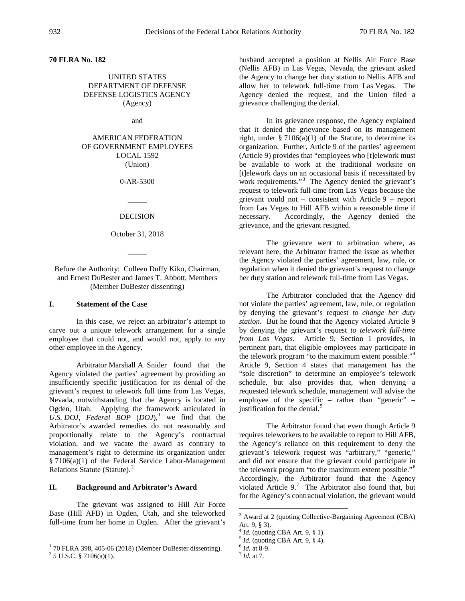**70 FLRA No. 182**

UNITED STATES DEPARTMENT OF DEFENSE DEFENSE LOGISTICS AGENCY (Agency)

and

AMERICAN FEDERATION OF GOVERNMENT EMPLOYEES LOCAL 1592 (Union)

0-AR-5300

 $\overline{\phantom{a}}$ DECISION

October 31, 2018

 $\overline{\phantom{a}}$ 

Before the Authority: Colleen Duffy Kiko, Chairman, and Ernest DuBester and James T. Abbott, Members (Member DuBester dissenting)

### **I. Statement of the Case**

In this case, we reject an arbitrator's attempt to carve out a unique telework arrangement for a single employee that could not, and would not, apply to any other employee in the Agency.

Arbitrator Marshall A. Snider found that the Agency violated the parties' agreement by providing an insufficiently specific justification for its denial of the grievant's request to telework full time from Las Vegas, Nevada, notwithstanding that the Agency is located in Ogden, Utah. Applying the framework articulated in *U.S. DOJ, Federal BOP*  $(DOJ)$ ,<sup>[1](#page-0-0)</sup> we find that the Arbitrator's awarded remedies do not reasonably and proportionally relate to the Agency's contractual violation, and we vacate the award as contrary to management's right to determine its organization under § 7106(a)(1) of the Federal Service Labor-Management Relations Statute (Statute).<sup>[2](#page-0-1)</sup>

## **II. Background and Arbitrator's Award**

<span id="page-0-2"></span>The grievant was assigned to Hill Air Force Base (Hill AFB) in Ogden, Utah, and she teleworked full-time from her home in Ogden. After the grievant's husband accepted a position at Nellis Air Force Base (Nellis AFB) in Las Vegas, Nevada, the grievant asked the Agency to change her duty station to Nellis AFB and allow her to telework full-time from Las Vegas. The Agency denied the request, and the Union filed a grievance challenging the denial.

In its grievance response, the Agency explained that it denied the grievance based on its management right, under  $\S 7106(a)(1)$  of the Statute, to determine its organization. Further, Article 9 of the parties' agreement (Article 9) provides that "employees who [t]elework must be available to work at the traditional worksite on [t]elework days on an occasional basis if necessitated by work requirements."<sup>[3](#page-0-2)</sup> The Agency denied the grievant's request to telework full-time from Las Vegas because the grievant could not – consistent with Article 9 – report from Las Vegas to Hill AFB within a reasonable time if necessary. Accordingly, the Agency denied the grievance, and the grievant resigned.

The grievance went to arbitration where, as relevant here, the Arbitrator framed the issue as whether the Agency violated the parties' agreement, law, rule, or regulation when it denied the grievant's request to change her duty station and telework full-time from Las Vegas.

The Arbitrator concluded that the Agency did not violate the parties' agreement, law, rule, or regulation by denying the grievant's request *to change her duty station*. But he found that the Agency violated Article 9 by denying the grievant's request *to telework full-time from Las Vegas*. Article 9, Section 1 provides, in pertinent part, that eligible employees may participate in the telework program "to the maximum extent possible."[4](#page-0-3) Article 9, Section 4 states that management has the "sole discretion" to determine an employee's telework schedule, but also provides that, when denying a requested telework schedule, management will advise the employee of the specific – rather than "generic" – justification for the denial.<sup>[5](#page-0-4)</sup>

The Arbitrator found that even though Article 9 requires teleworkers to be available to report to Hill AFB, the Agency's reliance on this requirement to deny the grievant's telework request was "arbitrary," "generic," and did not ensure that the grievant could participate in the telework program "to the maximum extent possible."[6](#page-0-0) Accordingly, the Arbitrator found that the Agency violated Article 9. $^7$  $^7$  The Arbitrator also found that, but for the Agency's contractual violation, the grievant would

<span id="page-0-4"></span><span id="page-0-3"></span><span id="page-0-1"></span><span id="page-0-0"></span><sup>&</sup>lt;sup>1</sup> 70 FLRA 398, 405-06 (2018) (Member DuBester dissenting).<br><sup>2</sup> 5 U.S.C. § 7106(a)(1).

 <sup>3</sup> Award at 2 (quoting Collective-Bargaining Agreement (CBA) Art. 9, § 3).

<sup>4</sup> *Id.* (quoting CBA Art. 9, § 1). <sup>5</sup> *Id.* (quoting CBA Art. 9, § 4). <sup>6</sup> *Id.* at 8-9. <sup>7</sup> *Id.* at 7.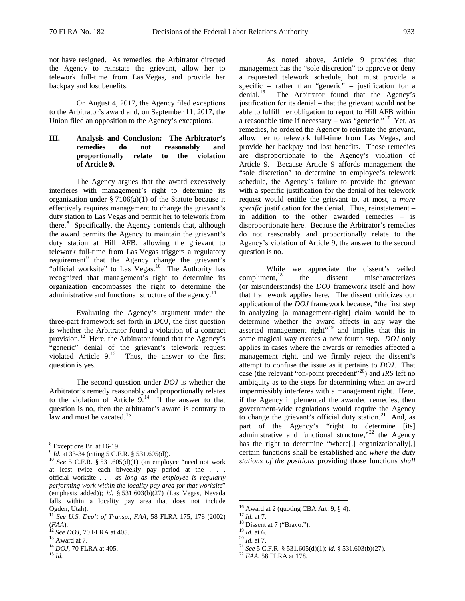not have resigned. As remedies, the Arbitrator directed the Agency to reinstate the grievant, allow her to telework full-time from Las Vegas, and provide her backpay and lost benefits.

On August 4, 2017, the Agency filed exceptions to the Arbitrator's award and, on September 11, 2017, the Union filed an opposition to the Agency's exceptions.

# **III. Analysis and Conclusion: The Arbitrator's remedies do not reasonably and proportionally relate to the violation of Article 9.**

The Agency argues that the award excessively interferes with management's right to determine its organization under  $\S 7106(a)(1)$  of the Statute because it effectively requires management to change the grievant's duty station to Las Vegas and permit her to telework from there. [8](#page-1-0) Specifically, the Agency contends that, although the award permits the Agency to maintain the grievant's duty station at Hill AFB, allowing the grievant to telework full-time from Las Vegas triggers a regulatory requirement<sup>[9](#page-1-1)</sup> that the Agency change the grievant's "official worksite" to Las Vegas. $10$  The Authority has recognized that management's right to determine its organization encompasses the right to determine the administrative and functional structure of the agency.<sup>[11](#page-1-3)</sup>

Evaluating the Agency's argument under the three-part framework set forth in *DOJ*, the first question is whether the Arbitrator found a violation of a contract provision.<sup>[12](#page-1-4)</sup> Here, the Arbitrator found that the Agency's "generic" denial of the grievant's telework request violated Article  $9<sup>13</sup>$  $9<sup>13</sup>$  $9<sup>13</sup>$  Thus, the answer to the first question is yes.

The second question under *DOJ* is whether the Arbitrator's remedy reasonably and proportionally relates to the violation of Article  $9<sup>14</sup>$  $9<sup>14</sup>$  $9<sup>14</sup>$  If the answer to that question is no, then the arbitrator's award is contrary to law and must be vacated.<sup>[15](#page-1-7)</sup>

<span id="page-1-2"></span>

As noted above, Article 9 provides that management has the "sole discretion" to approve or deny a requested telework schedule, but must provide a specific – rather than "generic" – justification for a denial.<sup>16</sup> The Arbitrator found that the Agency's The Arbitrator found that the Agency's justification for its denial – that the grievant would not be able to fulfill her obligation to report to Hill AFB within a reasonable time if necessary – was "generic."<sup>[17](#page-1-3)</sup> Yet, as remedies, he ordered the Agency to reinstate the grievant, allow her to telework full-time from Las Vegas, and provide her backpay and lost benefits. Those remedies are disproportionate to the Agency's violation of Article 9. Because Article 9 affords management the "sole discretion" to determine an employee's telework schedule, the Agency's failure to provide the grievant with a specific justification for the denial of her telework request would entitle the grievant to, at most, a *more specific* justification for the denial. Thus, reinstatement – in addition to the other awarded remedies – is disproportionate here. Because the Arbitrator's remedies do not reasonably and proportionally relate to the Agency's violation of Article 9, the answer to the second question is no.

While we appreciate the dissent's veiled<br>compliment,<sup>18</sup> the dissent mischaracterizes the dissent mischaracterizes (or misunderstands) the *DOJ* framework itself and how that framework applies here. The dissent criticizes our application of the *DOJ* framework because, "the first step in analyzing [a management-right] claim would be to determine whether the award affects in any way the asserted management right"<sup>[19](#page-1-4)</sup> and implies that this in some magical way creates a new fourth step. *DOJ* only applies in cases where the awards or remedies affected a management right, and we firmly reject the dissent's attempt to confuse the issue as it pertains to *DOJ*. That case (the relevant "on-point precedent"[20](#page-1-5)) and *IRS* left no ambiguity as to the steps for determining when an award impermissibly interferes with a management right. Here, if the Agency implemented the awarded remedies, then government-wide regulations would require the Agency to change the grievant's official duty station. $21$  And, as part of the Agency's "right to determine [its] administrative and functional structure," $^{22}$  $^{22}$  $^{22}$  the Agency has the right to determine "where[,] organizationally[,] certain functions shall be established and *where the duty stations of the positions* providing those functions *shall* 

<sup>16</sup> Award at 2 (quoting CBA Art. 9, § 4).<br><sup>17</sup> *Id.* at 7.<br><sup>18</sup> Dissent at 7 ("Bravo.").<br><sup>19</sup> *Id.* at 6.<br><sup>20</sup> *Id.* at 7.<br><sup>21</sup> *See* 5 C.F.R. § 531.605(d)(1); *id.* § 531.603(b)(27).<br><sup>22</sup> *FAA*, 58 FLRA at 178.

<span id="page-1-1"></span><span id="page-1-0"></span><sup>&</sup>lt;sup>8</sup> Exceptions Br. at 16-19.<br><sup>9</sup> *Id.* at 33-34 (citing 5 C.F.R. § 531.605(d)).<br><sup>10</sup> *See* 5 C.F.R. § 531.605(d)(1) (an employee "need not work at least twice each biweekly pay period at the . . . official worksite . . . *as long as the employee is regularly performing work within the locality pay area for that worksite*" (emphasis added)); *id.* § 531.603(b)(27) (Las Vegas, Nevada falls within a locality pay area that does not include Ogden, Utah).

<span id="page-1-9"></span><span id="page-1-8"></span><span id="page-1-3"></span><sup>11</sup> *See U.S. Dep't of Transp., FAA*, 58 FLRA 175, 178 (2002) (*FAA*). <sup>12</sup> *See DOJ*, 70 FLRA at 405. <sup>13</sup> Award at 7. <sup>14</sup> *DOJ*, 70 FLRA at 405. <sup>15</sup> *Id.*

<span id="page-1-4"></span>

<span id="page-1-5"></span>

<span id="page-1-6"></span>

<span id="page-1-7"></span>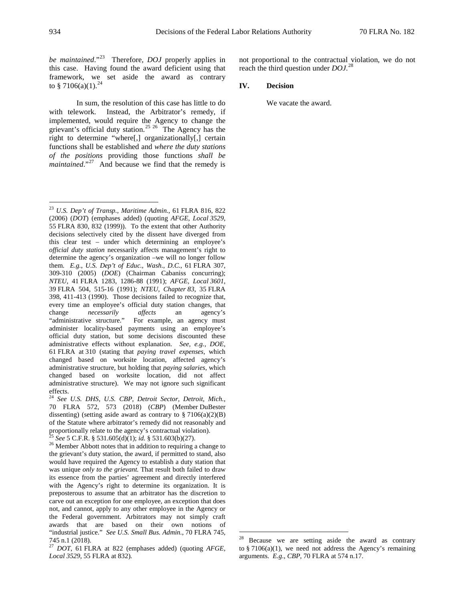*be maintained*."[23](#page-2-0) Therefore, *DOJ* properly applies in this case. Having found the award deficient using that framework, we set aside the award as contrary to  $$7106(a)(1).^{24}$  $$7106(a)(1).^{24}$  $$7106(a)(1).^{24}$ 

In sum, the resolution of this case has little to do with telework. Instead, the Arbitrator's remedy, if implemented, would require the Agency to change the grievant's official duty station.<sup>[25](#page-2-2)</sup> <sup>[26](#page-2-3)</sup> The Agency has the right to determine "where[,] organizationally[,] certain functions shall be established and *where the duty stations of the positions* providing those functions *shall be maintained.*"<sup>27</sup> And because we find that the remedy is

not proportional to the contractual violation, we do not reach the third question under *DOJ*. [28](#page-2-5)

#### **IV. Decision**

We vacate the award.

<span id="page-2-0"></span> <sup>23</sup> *U.S. Dep't of Transp., Maritime Admin.*, 61 FLRA 816, 822 (2006) (*DOT*) (emphases added) (quoting *AFGE, Local 3529*, 55 FLRA 830, 832 (1999)). To the extent that other Authority decisions selectively cited by the dissent have diverged from this clear test – under which determining an employee's *official duty station* necessarily affects management's right to determine the agency's organization –we will no longer follow them. *E.g.*, *U.S. Dep't of Educ., Wash., D.C.*, 61 FLRA 307, 309-310 (2005) (*DOE*) (Chairman Cabaniss concurring); *NTEU*, 41 FLRA 1283, 1286-88 (1991); *AFGE, Local 3601*, 39 FLRA 504, 515-16 (1991); *NTEU, Chapter 83*, 35 FLRA 398, 411-413 (1990). Those decisions failed to recognize that, every time an employee's official duty station changes, that change *necessarily affects* an agency's For example, an agency must administer locality-based payments using an employee's official duty station, but some decisions discounted these administrative effects without explanation. *See, e.g.*, *DOE*, 61 FLRA at 310 (stating that *paying travel expenses*, which changed based on worksite location, affected agency's administrative structure, but holding that *paying salaries*, which changed based on worksite location, did not affect administrative structure). We may not ignore such significant effects.

<span id="page-2-1"></span><sup>24</sup> *See U.S. DHS, U.S. CBP, Detroit Sector, Detroit, Mich.*, 70 FLRA 572, 573 (2018) (*CBP*) (Member DuBester dissenting) (setting aside award as contrary to  $\S 7106(a)(2)(B)$ of the Statute where arbitrator's remedy did not reasonably and proportionally relate to the agency's contractual violation).

<span id="page-2-3"></span><span id="page-2-2"></span><sup>&</sup>lt;sup>25</sup> *See* 5 C.F.R. § 531.605(d)(1); *id.* § 531.603(b)(27). <sup>26</sup> Member Abbott notes that in addition to requiring a change to the grievant's duty station, the award, if permitted to stand, also would have required the Agency to establish a duty station that was unique *only to the grievant.* That result both failed to draw its essence from the parties' agreement and directly interfered with the Agency's right to determine its organization. It is preposterous to assume that an arbitrator has the discretion to carve out an exception for one employee, an exception that does not, and cannot, apply to any other employee in the Agency or the Federal government. Arbitrators may not simply craft awards that are based on their own notions of "industrial justice." *See U.S. Small Bus. Admin.*, 70 FLRA 745, 745 n.1 (2018).

<span id="page-2-5"></span><span id="page-2-4"></span><sup>27</sup> *DOT*, 61 FLRA at 822 (emphases added) (quoting *AFGE, Local 3529*, 55 FLRA at 832).

Because we are setting aside the award as contrary to § 7106(a)(1), we need not address the Agency's remaining arguments. *E.g.*, *CBP*, 70 FLRA at 574 n.17.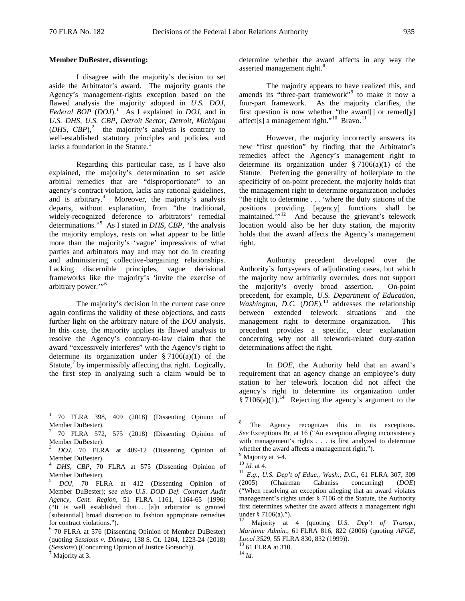#### **Member DuBester, dissenting:**

I disagree with the majority's decision to set aside the Arbitrator's award. The majority grants the Agency's management-rights exception based on the flawed analysis the majority adopted in *U.S. DOJ, Federal BOP* (*DOJ*).[1](#page-3-0) As I explained in *DOJ*, and in *U.S. DHS, U.S. CBP, Detroit Sector, Detroit, Michigan*  $(DHS, CBP)$ ,<sup>[2](#page-3-1)</sup> the majority's analysis is contrary to well-established statutory principles and policies, and lacks a foundation in the Statute. $3$ 

Regarding this particular case, as I have also explained, the majority's determination to set aside arbitral remedies that are "disproportionate" to an agency's contract violation, lacks any rational guidelines, and is arbitrary.<sup>[4](#page-3-3)</sup> Moreover, the majority's analysis departs, without explanation, from "the traditional, widely-recognized deference to arbitrators' remedial determinations."[5](#page-3-4) As I stated in *DHS, CBP*, "the analysis the majority employs, rests on what appear to be little more than the majority's 'vague' impressions of what parties and arbitrators may and may not do in creating and administering collective-bargaining relationships. Lacking discernible principles, vague decisional frameworks like the majority's 'invite the exercise of arbitrary power."<sup>[6](#page-3-5)</sup>

The majority's decision in the current case once again confirms the validity of these objections, and casts further light on the arbitrary nature of the *DOJ* analysis. In this case, the majority applies its flawed analysis to resolve the Agency's contrary-to-law claim that the award "excessively interferes" with the Agency's right to determine its organization under  $\S 7106(a)(1)$  of the Statute, $\frac{7}{1}$  $\frac{7}{1}$  $\frac{7}{1}$  by impermissibly affecting that right. Logically, the first step in analyzing such a claim would be to

determine whether the award affects in any way the asserted management right.<sup>[8](#page-3-7)</sup>

The majority appears to have realized this, and amends its "three-part framework"<sup>[9](#page-3-8)</sup> to make it now a four-part framework. As the majority clarifies, the first question is now whether "the award[] or remed[y] affect[s] a management right."<sup>[10](#page-3-9)</sup> Bravo.<sup>[11](#page-3-10)</sup>

However, the majority incorrectly answers its new "first question" by finding that the Arbitrator's remedies affect the Agency's management right to determine its organization under  $\S 7106(a)(1)$  of the Statute. Preferring the generality of boilerplate to the specificity of on-point precedent, the majority holds that the management right to determine organization includes "the right to determine . . . 'where the duty stations of the positions providing [agency] functions shall be maintained."<sup>12</sup> And because the grievant's telework location would also be her duty station, the majority holds that the award affects the Agency's management right.

Authority precedent developed over the Authority's forty-years of adjudicating cases, but which the majority now arbitrarily overrules, does not support the majority's overly broad assertion. On-point precedent, for example, *U.S. Department of Education, Washington, D.C.* (*DOE*), [13](#page-3-12) addresses the relationship between extended telework situations and the management right to determine organization. This precedent provides a specific, clear explanation concerning why not all telework-related duty-station determinations affect the right.

In *DOE,* the Authority held that an award's requirement that an agency change an employee's duty station to her telework location did not affect the agency's right to determine its organization under  $§ 7106(a)(1).$ <sup>14</sup> Rejecting the agency's argument to the

<span id="page-3-7"></span><span id="page-3-0"></span> <sup>1</sup> 70 FLRA 398, 409 (2018) (Dissenting Opinion of Member DuBester).

<span id="page-3-1"></span> $2^{2}$  70 FLRA 572, 575 (2018) (Dissenting Opinion of Member DuBester).

<span id="page-3-8"></span><span id="page-3-2"></span>DOJ, 70 FLRA at 409-12 (Dissenting Opinion of Member DuBester). <sup>4</sup> *DHS, CBP*, 70 FLRA at 575 (Dissenting Opinion of

<span id="page-3-9"></span><span id="page-3-3"></span>Member DuBester).

<span id="page-3-10"></span><span id="page-3-4"></span><sup>5</sup> *DOJ*, 70 FLRA at 412 (Dissenting Opinion of Member DuBester); *see also U.S. DOD Def. Contract Audit Agency, Cent. Region*, 51 FLRA 1161, 1164-65 (1996) ("It is well established that . . . [a]n arbitrator is granted [substantial] broad discretion to fashion appropriate remedies for contract violations.").

<span id="page-3-12"></span><span id="page-3-11"></span><span id="page-3-5"></span><sup>&</sup>lt;sup>6</sup> 70 FLRA at 576 (Dissenting Opinion of Member DuBester) (quoting *Sessions v. Dimaya*, 138 S. Ct. 1204, 1223-24 (2018) (*Sessions*) (Concurring Opinion of Justice Gorsuch)). <sup>7</sup> Majority at 3.

<span id="page-3-6"></span>

The Agency recognizes this in its exceptions. *See* Exceptions Br. at 16 ("An exception alleging inconsistency with management's rights . . . is first analyzed to determine whether the award affects a management right.").  $9^9$  Maiority at 3-4.

<sup>&</sup>lt;sup>10</sup> *Id.* at 4. <sup>11</sup> *E.g., U.S. Dep't of Educ., Wash., D.C., 61 FLRA 307, 309* (2005) (Chairman Cabaniss concurring) (*DOE*) ("When resolving an exception alleging that an award violates management's rights under § 7106 of the Statute, the Authority first determines whether the award affects a management right under § 7106(a).").<br><sup>12</sup> Majority at 4 (quoting *U.S. Dep't of Transp.*,

*Maritime Admin.*, 61 FLRA 816, 822 (2006) (quoting *AFGE, Local* 3529, 55 FLRA 830, 832 (1999)).<br><sup>13</sup> 61 FLRA at 310.<br><sup>14</sup> *Id.*